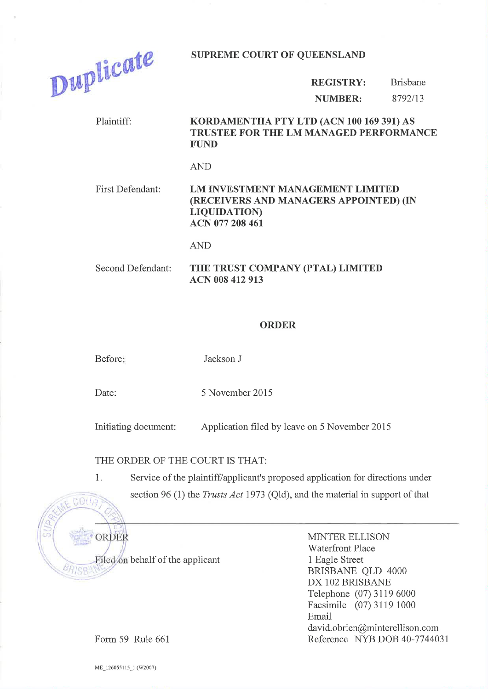

SUPREME COURT OF QUEENSLAND

REGISTRY: NUMBER: Brisbane 8792113

#### Plaintiff: KORDAMENTHA PTY LTD (ACN 100 169 391) AS TRUSTEE FOR THE LM MANAGED PERFORMANCE FUND

AND

### First Defendant: LM INVESTMENT MANAGEMENT LIMITED (RECEIVERS AND MANAGERS APPOINTED) (IN LIQUIDATION) ACN 077 208 461

AND

Second Defendant: THE TRUST COMPANY (PTAL) LIMITED ACN 008 412 913

#### ORDER

Before: Jackson J

Date: 5 November 2015

Initiating document: Application filed by leave on 5 November <sup>2015</sup>

## THE ORDER OF THE COURT IS THAT:

1. Service of the plaintiff/applicant's proposed application for directions under section 96 (1) the *Trusts Act* 1973 (Qld), and the material in support of that



MINTER ELLISON Waterfront Place 1 Eagle Street BRISBANE QLD 4000 DX 102 BRISBANE Telephone (07) 31 19 6000 Facsimile (07) 3119 1000 Email david.obrien@minterellison.com Reference NYB DOB 40-7144031

Form 59 Rule 661

ME\_126055115\_1 (W2007)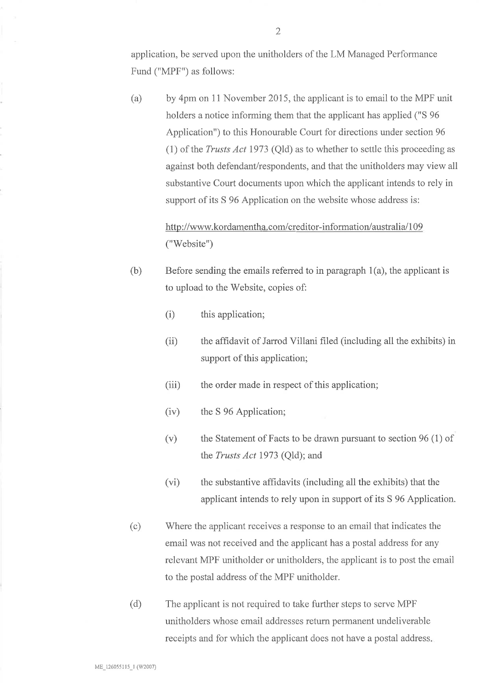application, be served upon the unitholders of the LM Managed Performance Fund ("MPF") as follows:

(a) by 4pm on 11 November 2015, the applicant is to email to the MPF unit holders a notice informing them that the applicant has applied ("S 96 Application") to this Honourable Court for directions under section 96 (1) of the Trusts Act 1973 (Qld) as to whether to settle this proceeding as against both defendant/respondents, and that the unitholders may view all substantive Court documents upon which the applicant intends to rely in support of its S 96 Application on the website whose address is:

# http://www.kordamentha.com/creditor-information/australia/109 ("'Website")

- (b) Before sending the emails referred to in paragraph 1(a), the applicant is to upload to the Website, copies of:
	- (i) this application;
	- (ii) the affidavit of Jarrod Villani filed (including all the exhibits) in support of this application;
	- (iii) the order made in respect of this application;
	- (iv) the S 96 Application;
	- (v) the Statement of Facts to be drawn pursuant to section 96 (1) of the Trusts Act 1973 (Qld); and
	- (vi) the substantive afhdavits (including all the exhibits) that the applicant intends to rely upon in support of its S 96 Application.
- Where the applicant receives a response to an email that indicates the email was not received and the applicant has a postal address for any relevant MPF unitholder or unitholders, the applicant is to post the email to the postal address of the MPF unitholder. (c)
- The applicant is not required to take further steps to serve MPF unitholders whose email addresses return permanent undeliverable receipts and for which the applicant does not have a postal address (d)